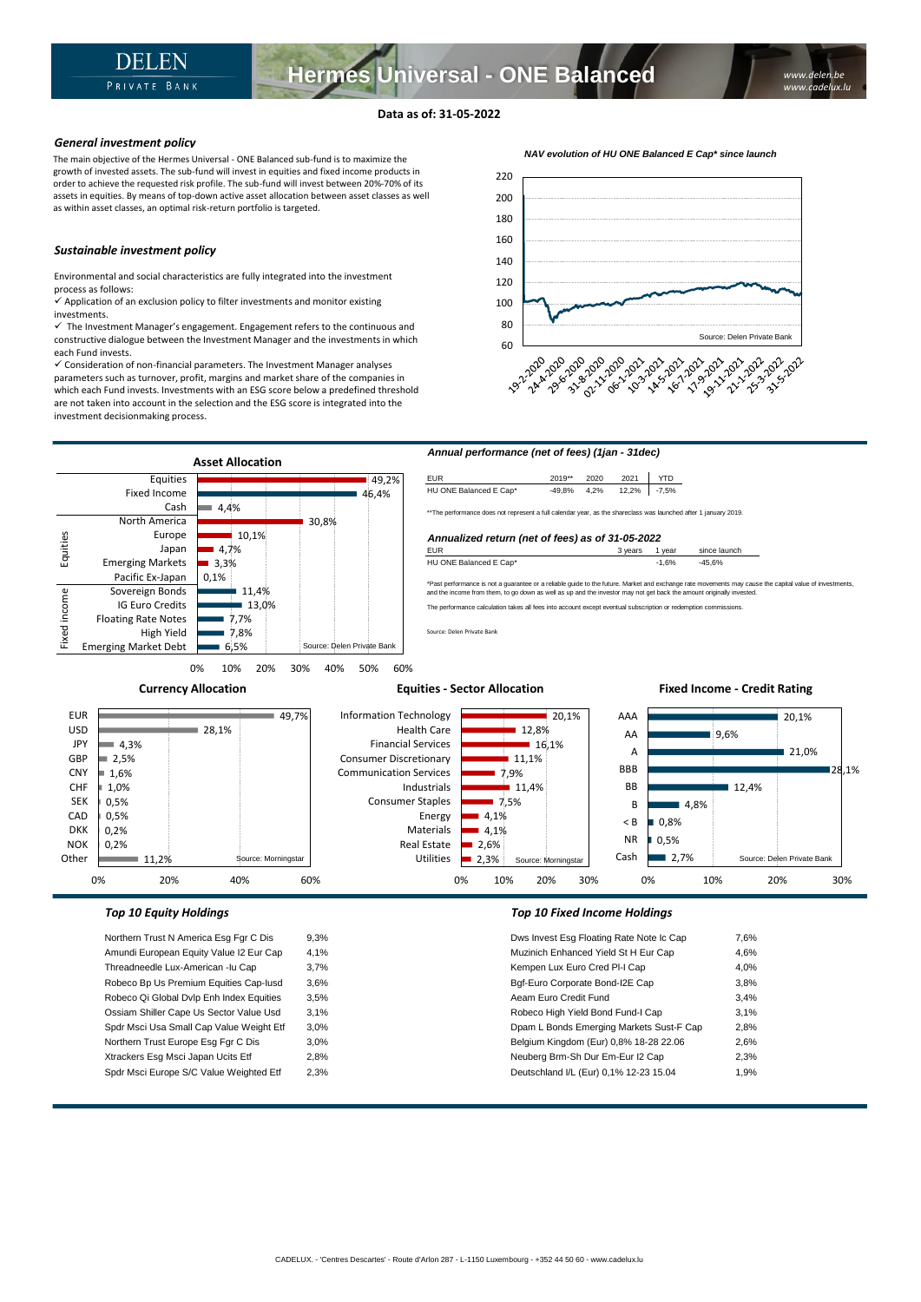# **Data as of: 31-05-2022**

### *General investment policy*

The main objective of the Hermes Universal - ONE Balanced sub-fund is to maximize the growth of invested assets. The sub-fund will invest in equities and fixed income products in order to achieve the requested risk profile. The sub-fund will invest between 20%-70% of its assets in equities. By means of top-down active asset allocation between asset classes as well as within asset classes, an optimal risk-return portfolio is targeted.

### *Sustainable investment policy*

Environmental and social characteristics are fully integrated into the investment process as follows:

 $\checkmark$  Application of an exclusion policy to filter investments and monitor existing investments.

 $\checkmark$  The Investment Manager's engagement. Engagement refers to the continuous and constructive dialogue between the Investment Manager and the investments in which each Fund invests.

✓ Consideration of non-financial parameters. The Investment Manager analyses parameters such as turnover, profit, margins and market share of the companies in which each Fund invests. Investments with an ESG score below a predefined threshold are not taken into account in the selection and the ESG score is integrated into the investment decisionmaking process.





Xtrackers Esg Msci Japan Ucits Etf 2,8% Neuberg Brm-Sh Dur Em-Eur I2 Cap 2,3% Spdr Msci Europe S/C Value Weighted Etf 2,3% and the state of the Deutschland I/L (Eur) 0,1% 12-23 15.04 1,9%